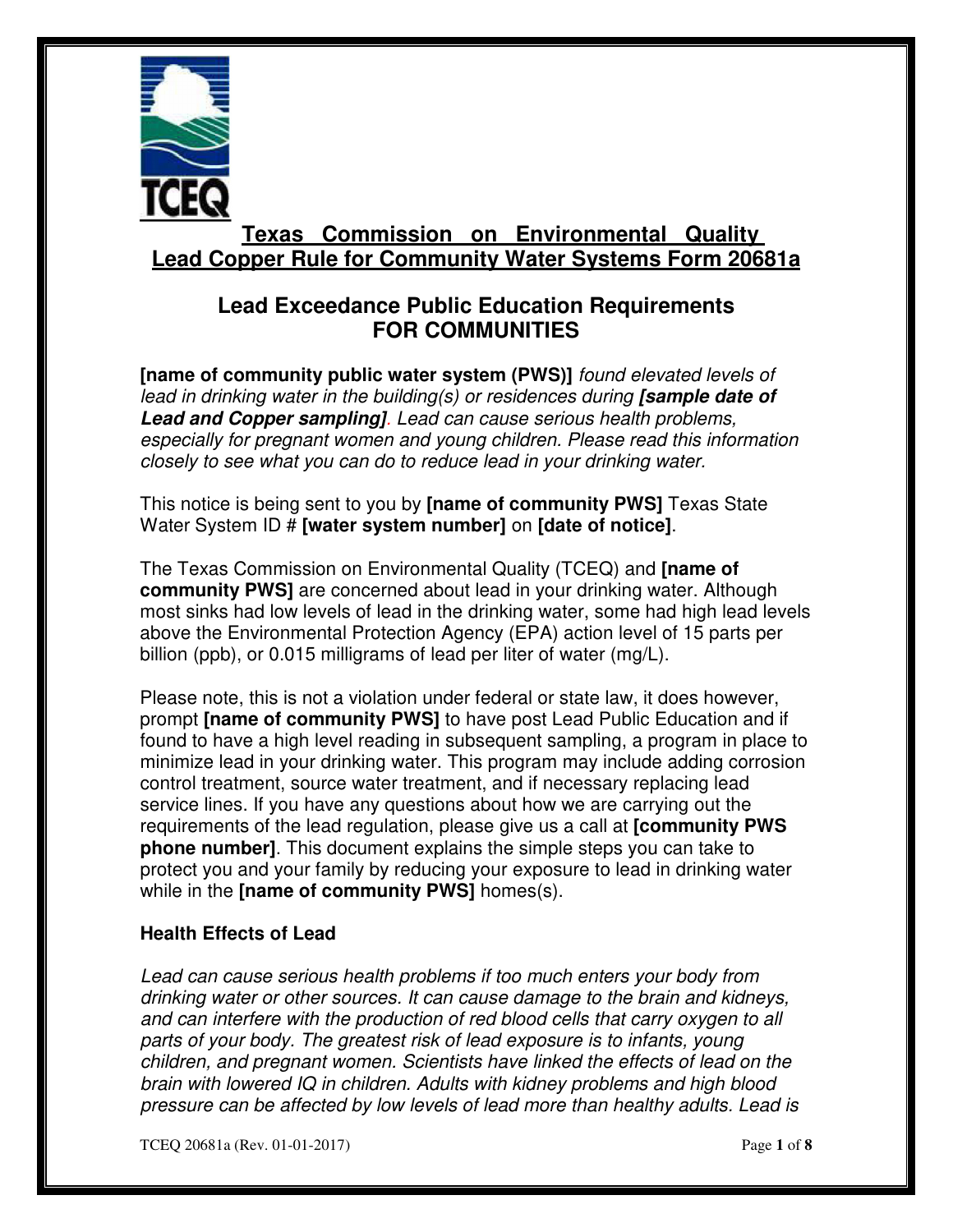

# **Texas Commission on Environmental Quality Lead Copper Rule for Community Water Systems Form 20681a**

## **Lead Exceedance Public Education Requirements FOR COMMUNITIES**

 **[name of community public water system (PWS)]** found elevated levels of lead in drinking water in the building(s) or residences during **[sample date of Lead and Copper sampling]**. Lead can cause serious health problems, especially for pregnant women and young children. Please read this information closely to see what you can do to reduce lead in your drinking water.

 This notice is being sent to you by **[name of community PWS]** Texas State Water System ID # **[water system number]** on **[date of notice]**.

 The Texas Commission on Environmental Quality (TCEQ) and **[name of community PWS]** are concerned about lead in your drinking water. Although most sinks had low levels of lead in the drinking water, some had high lead levels above the Environmental Protection Agency (EPA) action level of 15 parts per billion (ppb), or 0.015 milligrams of lead per liter of water (mg/L).

 Please note, this is not a violation under federal or state law, it does however,  prompt **[name of community PWS]** to have post Lead Public Education and if found to have a high level reading in subsequent sampling, a program in place to minimize lead in your drinking water. This program may include adding corrosion control treatment, source water treatment, and if necessary replacing lead service lines. If you have any questions about how we are carrying out the requirements of the lead regulation, please give us a call at **[community PWS phone number]**. This document explains the simple steps you can take to protect you and your family by reducing your exposure to lead in drinking water while in the **[name of community PWS]** homes(s).

#### **Health Effects of Lead**

 Lead can cause serious health problems if too much enters your body from drinking water or other sources. It can cause damage to the brain and kidneys, and can interfere with the production of red blood cells that carry oxygen to all parts of your body. The greatest risk of lead exposure is to infants, young children, and pregnant women. Scientists have linked the effects of lead on the brain with lowered IQ in children. Adults with kidney problems and high blood pressure can be affected by low levels of lead more than healthy adults. Lead is

TCEQ 20681a (Rev. 01-01-2017) Page **1** of **8**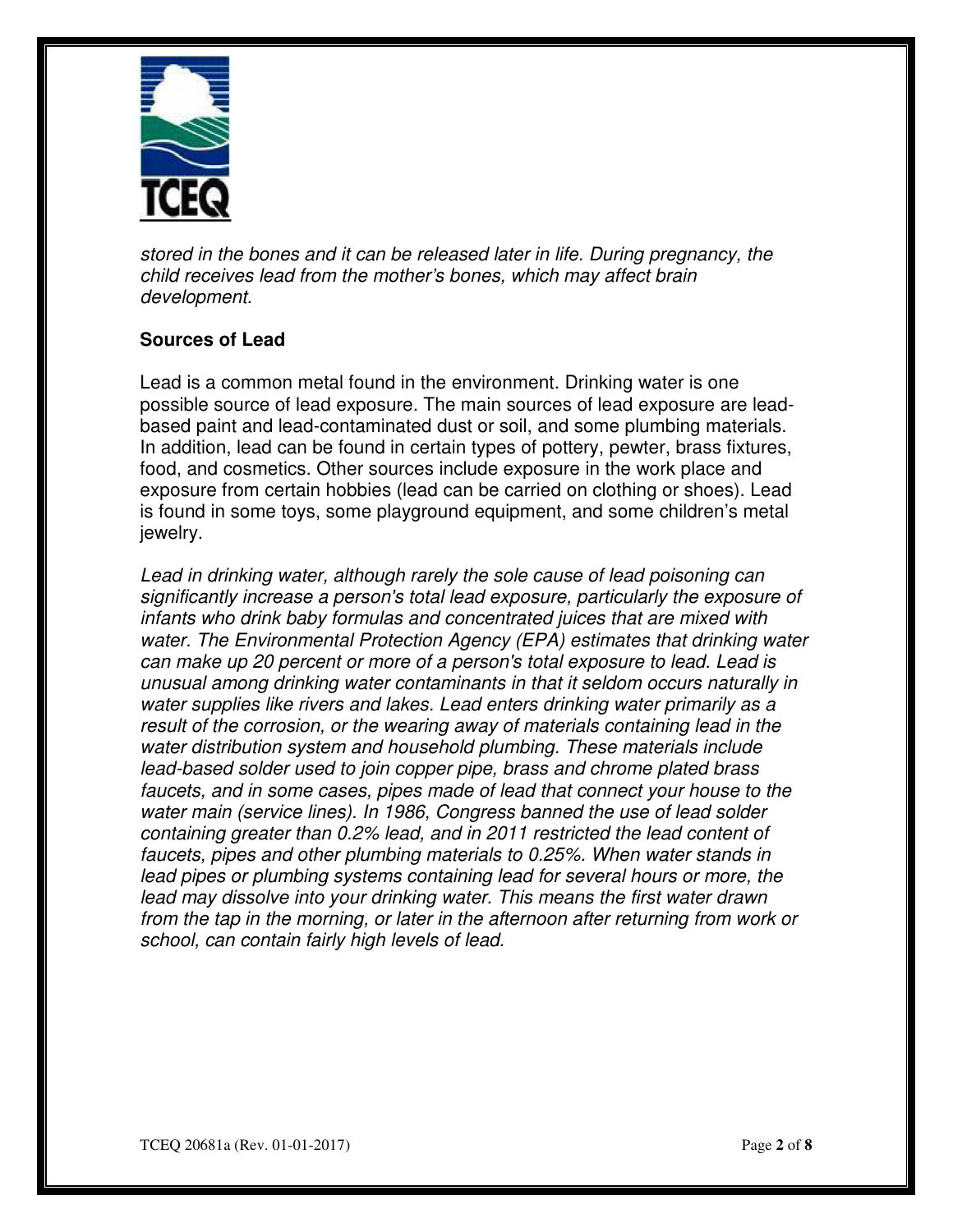

 stored in the bones and it can be released later in life. During pregnancy, the child receives lead from the mother's bones, which may affect brain development.

## **Sources of Lead**

 Lead is a common metal found in the environment. Drinking water is one possible source of lead exposure. The main sources of lead exposure are lead- based paint and lead-contaminated dust or soil, and some plumbing materials. In addition, lead can be found in certain types of pottery, pewter, brass fixtures, food, and cosmetics. Other sources include exposure in the work place and exposure from certain hobbies (lead can be carried on clothing or shoes). Lead is found in some toys, some playground equipment, and some children's metal jewelry.

 Lead in drinking water, although rarely the sole cause of lead poisoning can significantly increase a person's total lead exposure, particularly the exposure of infants who drink baby formulas and concentrated juices that are mixed with water. The Environmental Protection Agency (EPA) estimates that drinking water can make up 20 percent or more of a person's total exposure to lead. Lead is unusual among drinking water contaminants in that it seldom occurs naturally in water supplies like rivers and lakes. Lead enters drinking water primarily as a result of the corrosion, or the wearing away of materials containing lead in the water distribution system and household plumbing. These materials include lead-based solder used to join copper pipe, brass and chrome plated brass faucets, and in some cases, pipes made of lead that connect your house to the water main (service lines). In 1986, Congress banned the use of lead solder containing greater than 0.2% lead, and in 2011 restricted the lead content of faucets, pipes and other plumbing materials to 0.25%. When water stands in lead pipes or plumbing systems containing lead for several hours or more, the from the tap in the morning, or later in the afternoon after returning from work or school, can contain fairly high levels of lead. lead may dissolve into your drinking water. This means the first water drawn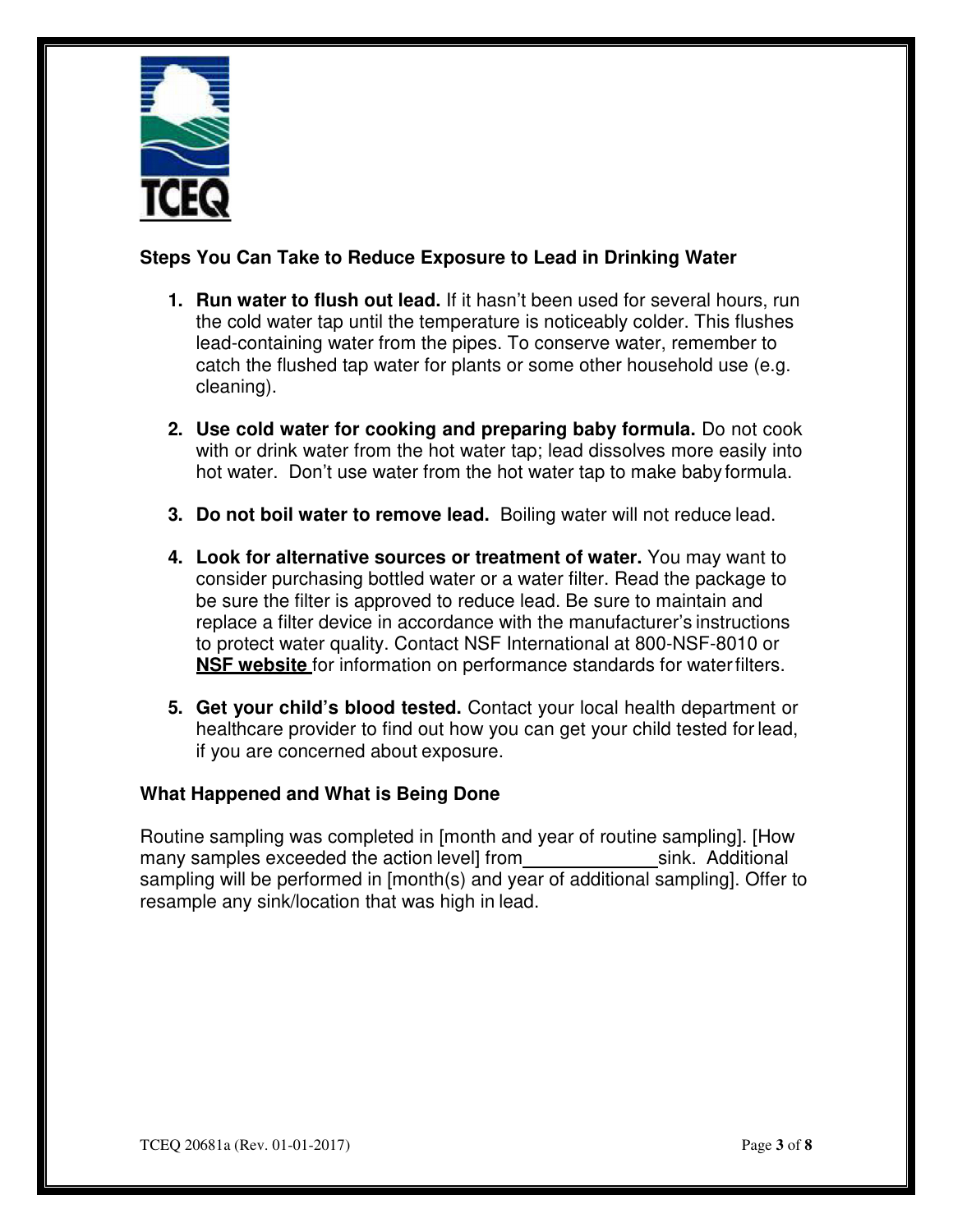

## **Steps You Can Take to Reduce Exposure to Lead in Drinking Water**

- **1. Run water to flush out lead.** If it hasn't been used for several hours, run the cold water tap until the temperature is noticeably colder. This flushes lead-containing water from the pipes. To conserve water, remember to catch the flushed tap water for plants or some other household use (e.g. cleaning).
- **2. Use cold water for cooking and preparing baby formula.** Do not cook with or drink water from the hot water tap; lead dissolves more easily into hot water. Don't use water from the hot water tap to make babyformula.
- **3. Do not boil water to remove lead.** Boiling water will not reduce lead.
- **4. Look for alternative sources or treatment of water.** You may want to consider purchasing bottled water or a water filter. Read the package to be sure the filter is approved to reduce lead. Be sure to maintain and replace a filter device in accordance with the manufacturer's instructions to protect water quality. Contact NSF International at 800-NSF-8010 or **NSF website** for information on performance standards for water filters.
- **5. Get your child's blood tested.** Contact your local health department or healthcare provider to find out how you can get your child tested for lead, if you are concerned about exposure.

## **What Happened and What is Being Done**

 Routine sampling was completed in [month and year of routine sampling]. [How many samples exceeded the action level] from \_\_\_\_\_\_\_\_\_\_\_\_\_\_\_\_\_\_\_\_\_sink. Additional sampling will be performed in [month(s) and year of additional sampling]. Offer to resample any sink/location that was high in lead.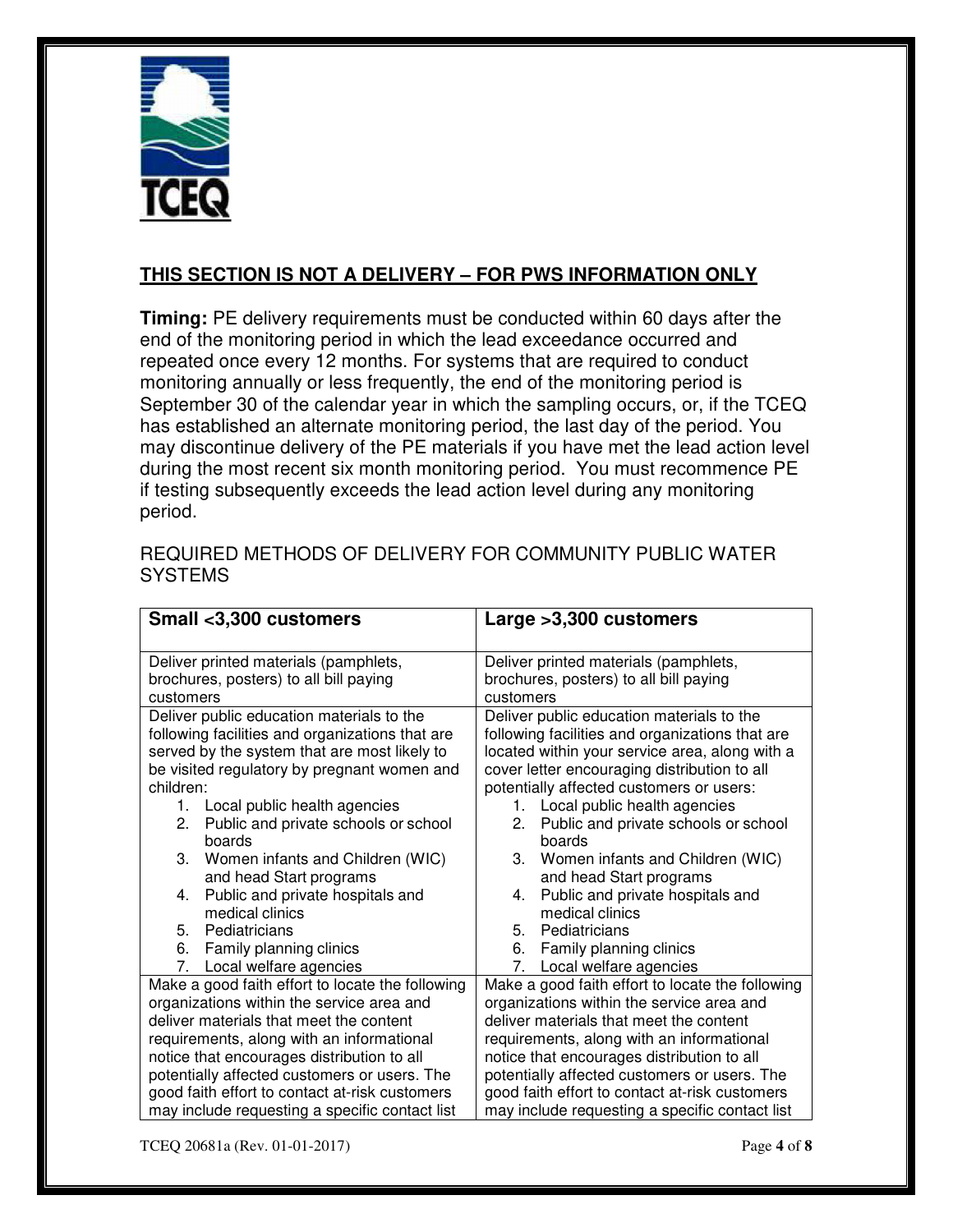

## **THIS SECTION IS NOT A DELIVERY – FOR PWS INFORMATION ONLY**

 **Timing:** PE delivery requirements must be conducted within 60 days after the end of the monitoring period in which the lead exceedance occurred and repeated once every 12 months. For systems that are required to conduct monitoring annually or less frequently, the end of the monitoring period is September 30 of the calendar year in which the sampling occurs, or, if the TCEQ has established an alternate monitoring period, the last day of the period. You may discontinue delivery of the PE materials if you have met the lead action level during the most recent six month monitoring period. You must recommence PE if testing subsequently exceeds the lead action level during any monitoring period.

| Small <3,300 customers                           | Large > 3,300 customers                          |
|--------------------------------------------------|--------------------------------------------------|
| Deliver printed materials (pamphlets,            | Deliver printed materials (pamphlets,            |
| brochures, posters) to all bill paying           | brochures, posters) to all bill paying           |
| customers                                        | customers                                        |
| Deliver public education materials to the        | Deliver public education materials to the        |
| following facilities and organizations that are  | following facilities and organizations that are  |
| served by the system that are most likely to     | located within your service area, along with a   |
| be visited regulatory by pregnant women and      | cover letter encouraging distribution to all     |
| children:                                        | potentially affected customers or users:         |
| 1. Local public health agencies                  | Local public health agencies<br>1.               |
| Public and private schools or school<br>2.       | Public and private schools or school<br>2.       |
| boards                                           | boards                                           |
| Women infants and Children (WIC)<br>3.           | З.<br>Women infants and Children (WIC)           |
| and head Start programs                          | and head Start programs                          |
| Public and private hospitals and<br>4.           | Public and private hospitals and<br>4.           |
| medical clinics                                  | medical clinics                                  |
| 5. Pediatricians                                 | 5. Pediatricians                                 |
| 6. Family planning clinics                       | Family planning clinics<br>6.                    |
| 7.<br>Local welfare agencies                     | 7. Local welfare agencies                        |
| Make a good faith effort to locate the following | Make a good faith effort to locate the following |
| organizations within the service area and        | organizations within the service area and        |
| deliver materials that meet the content          | deliver materials that meet the content          |
| requirements, along with an informational        | requirements, along with an informational        |
| notice that encourages distribution to all       | notice that encourages distribution to all       |
| potentially affected customers or users. The     | potentially affected customers or users. The     |
| good faith effort to contact at-risk customers   | good faith effort to contact at-risk customers   |
| may include requesting a specific contact list   | may include requesting a specific contact list   |

 REQUIRED METHODS OF DELIVERY FOR COMMUNITY PUBLIC WATER **SYSTEMS**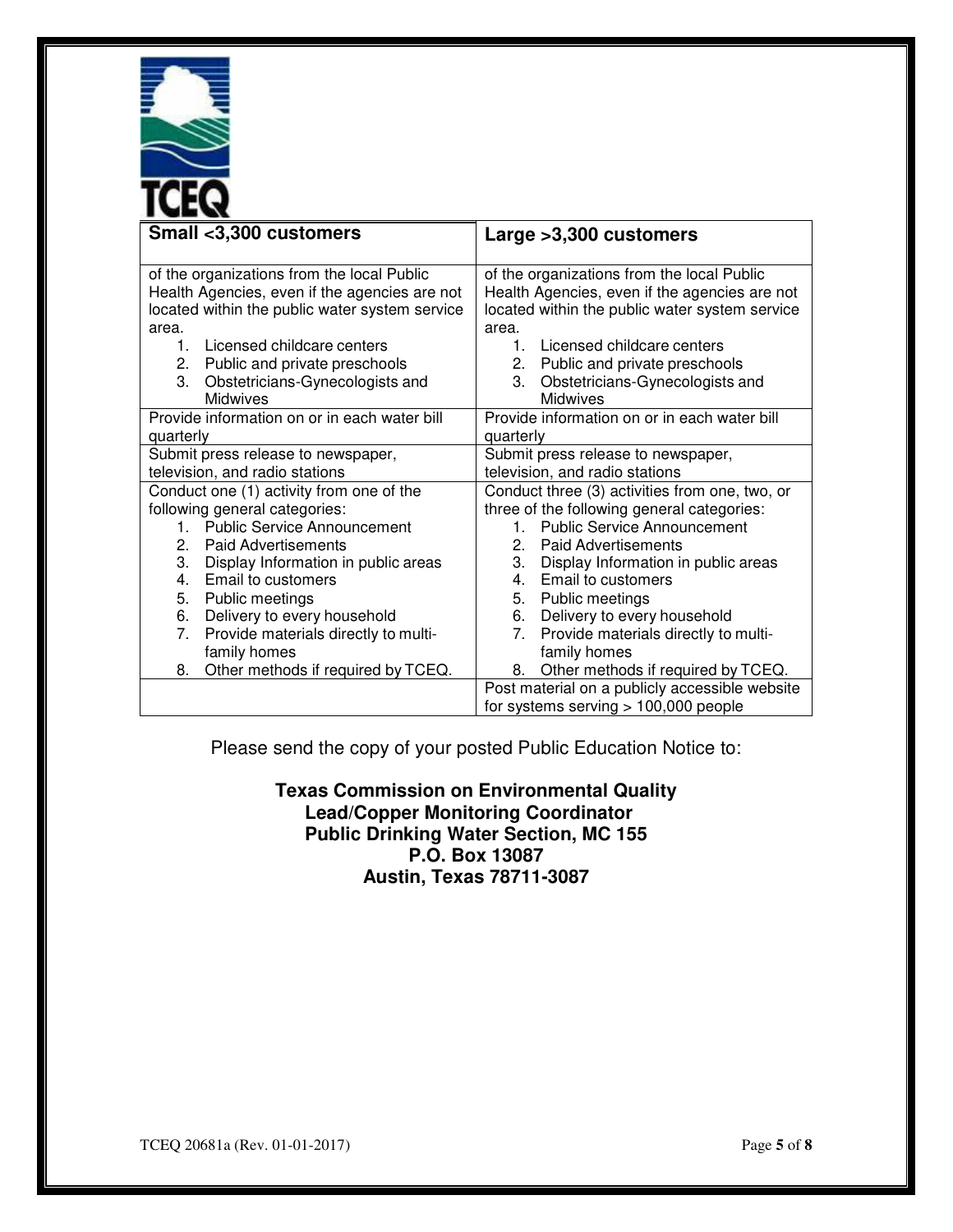

| Small <3,300 customers                                                                                                                                                                                                                                                                                                                                                                          | Large > 3,300 customers                                                                                                                                                                                                                                                                                                                                                                                                      |
|-------------------------------------------------------------------------------------------------------------------------------------------------------------------------------------------------------------------------------------------------------------------------------------------------------------------------------------------------------------------------------------------------|------------------------------------------------------------------------------------------------------------------------------------------------------------------------------------------------------------------------------------------------------------------------------------------------------------------------------------------------------------------------------------------------------------------------------|
| of the organizations from the local Public<br>Health Agencies, even if the agencies are not<br>located within the public water system service<br>area.<br>1. Licensed childcare centers<br>2. Public and private preschools<br>3.<br>Obstetricians-Gynecologists and<br><b>Midwives</b>                                                                                                         | of the organizations from the local Public<br>Health Agencies, even if the agencies are not<br>located within the public water system service<br>area.<br>Licensed childcare centers<br>1.<br>2. Public and private preschools<br>Obstetricians-Gynecologists and<br>3.<br><b>Midwives</b>                                                                                                                                   |
| Provide information on or in each water bill<br>quarterly                                                                                                                                                                                                                                                                                                                                       | Provide information on or in each water bill<br>quarterly                                                                                                                                                                                                                                                                                                                                                                    |
| Submit press release to newspaper,<br>television, and radio stations                                                                                                                                                                                                                                                                                                                            | Submit press release to newspaper,<br>television, and radio stations                                                                                                                                                                                                                                                                                                                                                         |
| Conduct one (1) activity from one of the<br>following general categories:<br><b>Public Service Announcement</b><br>1<br>2. Paid Advertisements<br>3.<br>Display Information in public areas<br>Email to customers<br>4.<br>5.<br>Public meetings<br>Delivery to every household<br>6.<br>Provide materials directly to multi-<br>7.<br>family homes<br>Other methods if required by TCEQ.<br>8. | Conduct three (3) activities from one, two, or<br>three of the following general categories:<br><b>Public Service Announcement</b><br>1.<br>$2_{-}$<br><b>Paid Advertisements</b><br>3.<br>Display Information in public areas<br>4. Email to customers<br>5. Public meetings<br>Delivery to every household<br>6.<br>Provide materials directly to multi-<br>7.<br>family homes<br>Other methods if required by TCEQ.<br>8. |
|                                                                                                                                                                                                                                                                                                                                                                                                 | Post material on a publicly accessible website<br>for systems serving $> 100,000$ people                                                                                                                                                                                                                                                                                                                                     |

Please send the copy of your posted Public Education Notice to:

 **Texas Commission on Environmental Quality P.O. Box 13087 Austin, Texas 78711-3087 Lead/Copper Monitoring Coordinator Public Drinking Water Section, MC 155**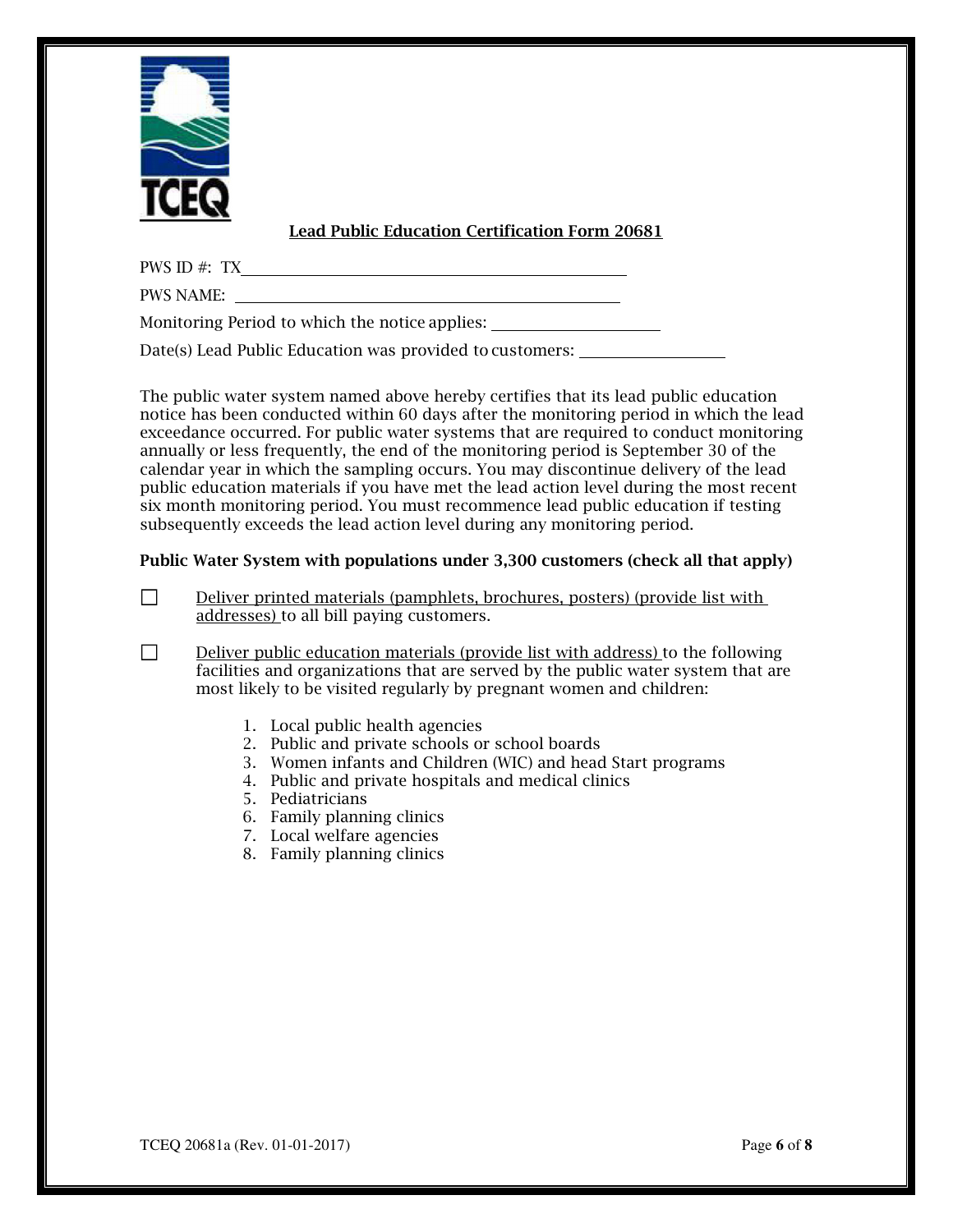

#### **Lead Public Education Certification Form 20681**

PWS ID #: TX

PWS NAME:

□

Monitoring Period to which the notice applies:

Date(s) Lead Public Education was provided to customers:

 The public water system named above hereby certifies that its lead public education notice has been conducted within 60 days after the monitoring period in which the lead exceedance occurred. For public water systems that are required to conduct monitoring annually or less frequently, the end of the monitoring period is September 30 of the calendar year in which the sampling occurs. You may discontinue delivery of the lead public education materials if you have met the lead action level during the most recent six month monitoring period. You must recommence lead public education if testing subsequently exceeds the lead action level during any monitoring period.

#### **Public Water System with populations under 3,300 customers (check all that apply)**

 Deliver printed materials (pamphlets, brochures, posters) (provide list with addresses) to all bill paying customers. □

 Deliver public education materials (provide list with address) to the following facilities and organizations that are served by the public water system that are most likely to be visited regularly by pregnant women and children:

- 1. Local public health agencies
- 2. Public and private schools or school boards
- 3. Women infants and Children (WIC) and head Start programs
- 4. Public and private hospitals and medical clinics
- 5. Pediatricians
- 6. Family planning clinics
- 7. Local welfare agencies
- 8. Family planning clinics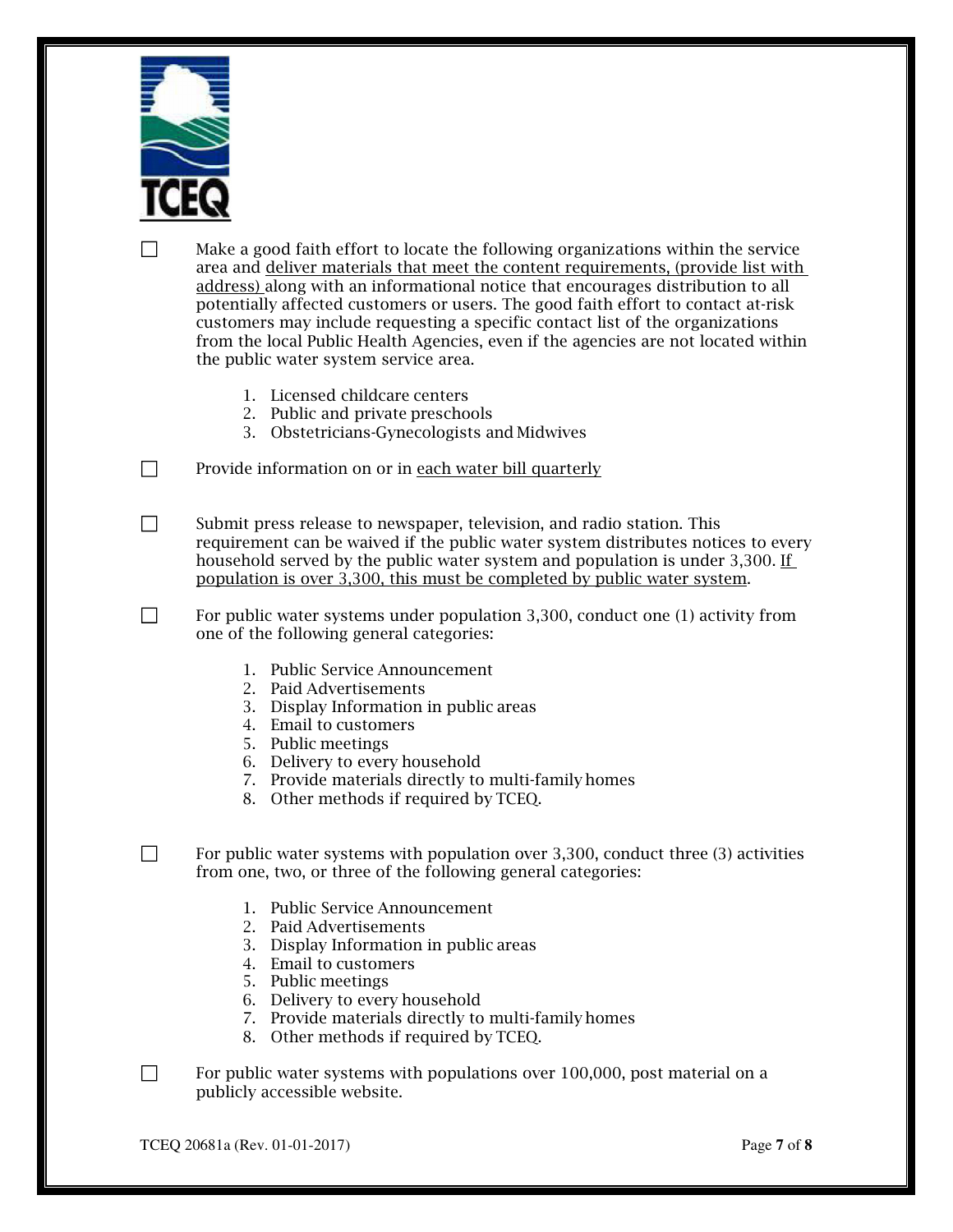

 Make a good faith effort to locate the following organizations within the service area and <u>deliver materials that meet the content requirements, (provide list with</u> address) along with an informational notice that encourages distribution to all potentially affected customers or users. The good faith effort to contact at-risk customers may include requesting a specific contact list of the organizations from the local Public Health Agencies, even if the agencies are not located within the public water system service area. □

- 1. Licensed childcare centers
- 2. Public and private preschools
- 3. Obstetricians-Gynecologists and Midwives

Provide information on or in <u>each water bill quarterly</u> □

 Submit press release to newspaper, television, and radio station. This requirement can be waived if the public water system distributes notices to every household served by the public water system and population is under 3,300. If population is over 3,300, this must be completed by public water system. □

 For public water systems under population 3,300, conduct one (1) activity from one of the following general categories: □

- 1. Public Service Announcement
- 2. Paid Advertisements
- 3. Display Information in public areas
- 4. Email to customers
- 5. Public meetings
- 6. Delivery to every household
- 7. Provide materials directly to multi-family homes
- 8. Other methods if required by TCEQ.

 For public water systems with population over 3,300, conduct three (3) activities from one, two, or three of the following general categories: □

- 1. Public Service Announcement
- 2. Paid Advertisements
- 3. Display Information in public areas
- 4. Email to customers
- 5. Public meetings
- 6. Delivery to every household
- 7. Provide materials directly to multi-family homes
- 8. Other methods if required by TCEQ.

 For public water systems with populations over 100,000, post material on a publicly accessible website. □